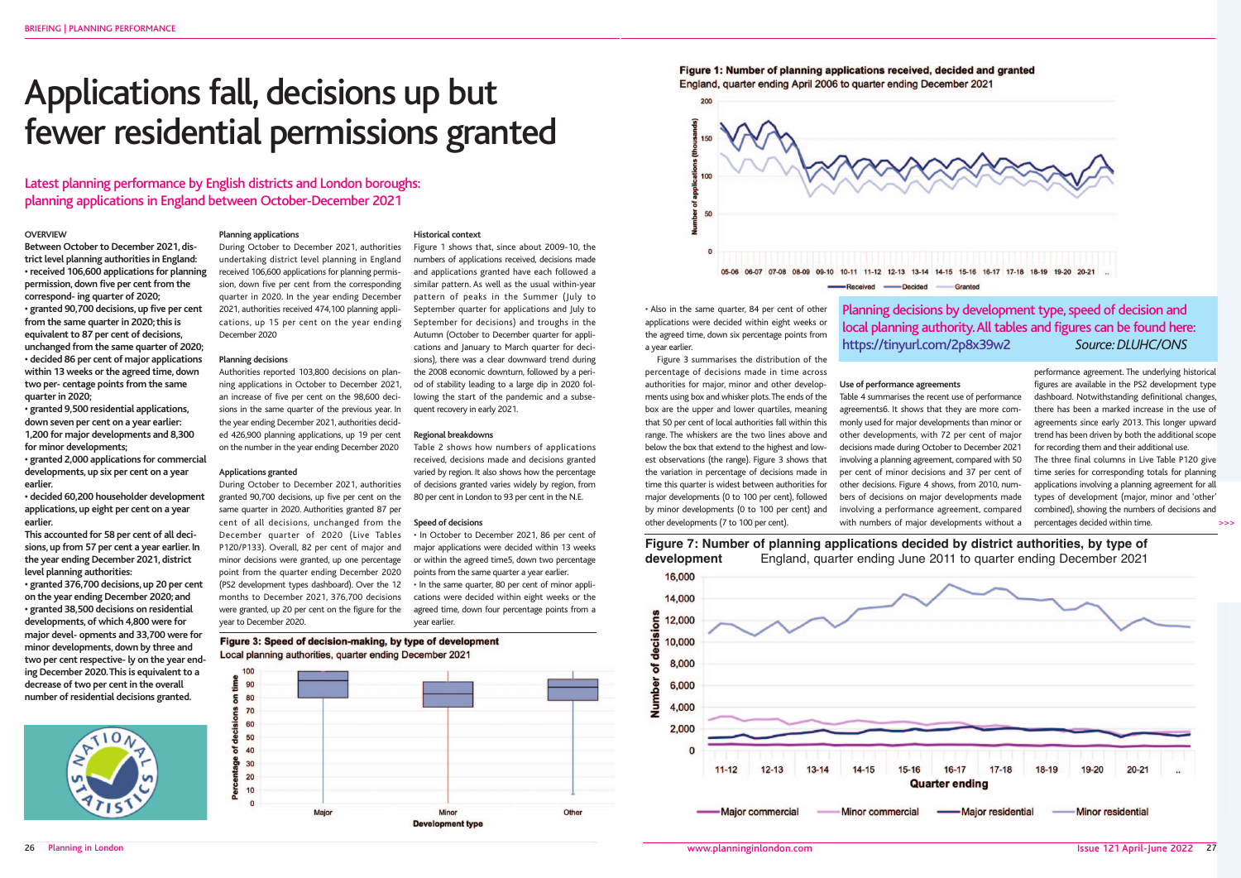26 Planning in London

### **OVERVIEW**

**Between October to December 2021, district level planning authorities in England: • received 106,600 applications for planning permission, down five per cent from the correspond- ing quarter of 2020; • granted 90,700 decisions, up five per cent from the same quarter in 2020; this is equivalent to 87 per cent of decisions, unchanged from the same quarter of 2020; • decided 86 per cent of major applications within 13 weeks or the agreed time, down two per- centage points from the same quarter in 2020;**

**• granted 9,500 residential applications, down seven per cent on a year earlier: 1,200 for major developments and 8,300 for minor developments;**

**• granted 2,000 applications for commercial developments, up six per cent on a year earlier.**

**• decided 60,200 householder development applications, up eight per cent on a year earlier.**

**This accounted for 58 per cent of all decisions, up from 57 per cent a year earlier. In the year ending December 2021, district level planning authorities:**

**• granted 376,700 decisions, up 20 per cent on the year ending December 2020; and • granted 38,500 decisions on residential developments, of which 4,800 were for major devel- opments and 33,700 were for minor developments, down by three and two per cent respective- ly on the year ending December 2020. This is equivalent to a decrease of two per cent in the overall number of residential decisions granted.**



### **Planning applications**

During October to December 2021, authorities undertaking district level planning in England received 106,600 applications for planning permission, down five per cent from the corresponding quarter in 2020. In the year ending December 2021, authorities received 474,100 planning applications, up 15 per cent on the year ending December 2020

### **Planning decisions**

Authorities reported 103,800 decisions on planning applications in October to December 2021, an increase of five per cent on the 98,600 decisions in the same quarter of the previous year. In the year ending December 2021, authorities decided 426,900 planning applications, up 19 per cent on the number in the year ending December 2020

### **Applications granted**

During October to December 2021, authorities granted 90,700 decisions, up five per cent on the same quarter in 2020. Authorities granted 87 per cent of all decisions, unchanged from the December quarter of 2020 (Live Tables P120/P133). Overall, 82 per cent of major and minor decisions were granted, up one percentage point from the quarter ending December 2020 (PS2 development types dashboard). Over the 12 months to December 2021, 376,700 decisions were granted, up 20 per cent on the figure for the year to December 2020.

### **Historical context**

Figure 1 shows that, since about 2009-10, the numbers of applications received, decisions made and applications granted have each followed a similar pattern. As well as the usual within-year pattern of peaks in the Summer (July to September quarter for applications and July to September for decisions) and troughs in the Autumn (October to December quarter for applications and January to March quarter for decisions), there was a clear downward trend during the 2008 economic downturn, followed by a period of stability leading to a large dip in 2020 following the start of the pandemic and a subsequent recovery in early 2021.

### **Regional breakdowns**

Table 2 shows how numbers of applications received, decisions made and decisions granted varied by region. It also shows how the percentage of decisions granted varies widely by region, from 80 per cent in London to 93 per cent in the N.E.

### **Speed of decisions**

• In October to December 2021, 86 per cent of major applications were decided within 13 weeks or within the agreed time5, down two percentage points from the same quarter a year earlier.

• In the same quarter, 80 per cent of minor applications were decided within eight weeks or the agreed time, down four percentage points from a year earlier.

Figure 3: Speed of decision-making, by type of development Local planning authorities, quarter ending December 2021



Figure 1: Number of planning applications received, decided and granted England, quarter ending April 2006 to quarter ending December 2021



# Applications fall, decisions up but fewer residential permissions granted

Latest planning performance by English districts and London boroughs: planning applications in England between October-December 2021

> • Also in the same quarter, 84 per cent of other applications were decided within eight weeks or the agreed time, down six percentage points from a year earlier.

Figure 3 summarises the distribution of the percentage of decisions made in time across authorities for major, minor and other developments using box and whisker plots. The ends of the box are the upper and lower quartiles, meaning that 50 per cent of local authorities fall within this range. The whiskers are the two lines above and below the box that extend to the highest and lowest observations (the range). Figure 3 shows that the variation in percentage of decisions made in time this quarter is widest between authorities for major developments (0 to 100 per cent), followed by minor developments (0 to 100 per cent) and other developments (7 to 100 per cent).

**Use of performance agreements** Table 4 summarises the recent use of performance agreements6. It shows that they are more commonly used for major developments than minor or other developments, with 72 per cent of major decisions made during October to December 2021 involving a planning agreement, compared with 50 per cent of minor decisions and 37 per cent of other decisions. Figure 4 shows, from 2010, numbers of decisions on major developments made involving a performance agreement, compared with numbers of major developments without a

performance agreement. The underlying historical figures are available in the PS2 development type dashboard. Notwithstanding definitional changes, there has been a marked increase in the use of agreements since early 2013. This longer upward trend has been driven by both the additional scope for recording them and their additional use.

The three final columns in Live Table P120 give time series for corresponding totals for planning applications involving a planning agreement for all types of development (major, minor and 'other' combined), showing the numbers of decisions and percentages decided within time.

# Planning decisions by development type, speed of decision and local planning authority. All tables and figures can be found here: https://tinyurl.com/2p8x39w2 *Source: DLUHC/ONS*

>>>

## **Figure 7: Number of planning applications decided by district authorities, by type of development** England, quarter ending June 2011 to quarter ending December 2021